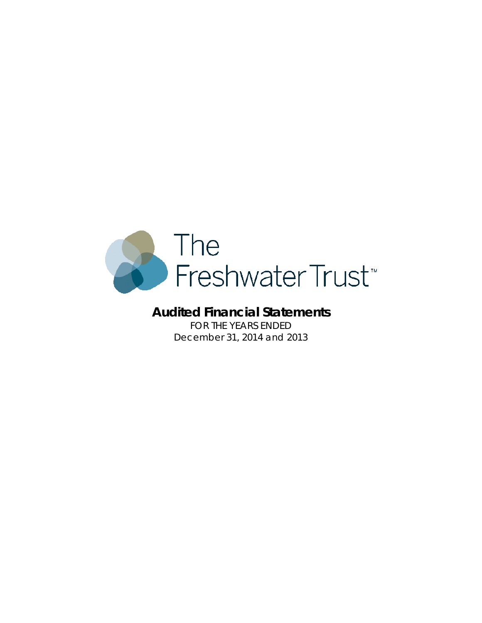

## **Audited Financial Statements**

FOR THE YEARS ENDED December 31, 2014 and 2013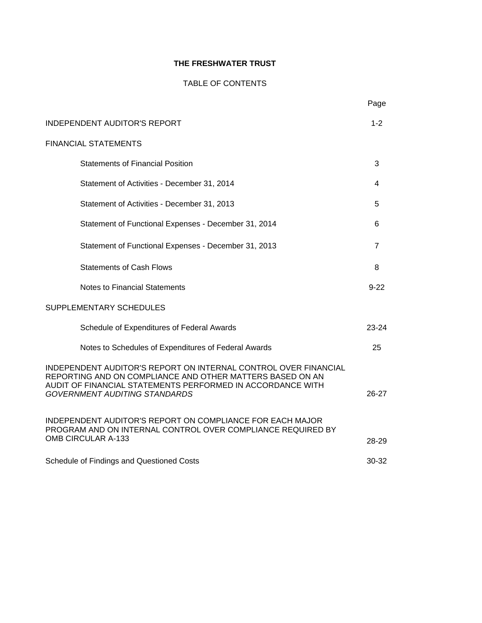#### **THE FRESHWATER TRUST**

#### TABLE OF CONTENTS

Page

| <b>INDEPENDENT AUDITOR'S REPORT</b>                                                                                                                                                                                                | $1 - 2$        |
|------------------------------------------------------------------------------------------------------------------------------------------------------------------------------------------------------------------------------------|----------------|
| <b>FINANCIAL STATEMENTS</b>                                                                                                                                                                                                        |                |
| <b>Statements of Financial Position</b>                                                                                                                                                                                            | 3              |
| Statement of Activities - December 31, 2014                                                                                                                                                                                        | 4              |
| Statement of Activities - December 31, 2013                                                                                                                                                                                        | 5              |
| Statement of Functional Expenses - December 31, 2014                                                                                                                                                                               | 6              |
| Statement of Functional Expenses - December 31, 2013                                                                                                                                                                               | $\overline{7}$ |
| <b>Statements of Cash Flows</b>                                                                                                                                                                                                    | 8              |
| Notes to Financial Statements                                                                                                                                                                                                      | $9 - 22$       |
| SUPPLEMENTARY SCHEDULES                                                                                                                                                                                                            |                |
| Schedule of Expenditures of Federal Awards                                                                                                                                                                                         | 23-24          |
| Notes to Schedules of Expenditures of Federal Awards                                                                                                                                                                               | 25             |
| INDEPENDENT AUDITOR'S REPORT ON INTERNAL CONTROL OVER FINANCIAL<br>REPORTING AND ON COMPLIANCE AND OTHER MATTERS BASED ON AN<br>AUDIT OF FINANCIAL STATEMENTS PERFORMED IN ACCORDANCE WITH<br><b>GOVERNMENT AUDITING STANDARDS</b> | 26-27          |
| INDEPENDENT AUDITOR'S REPORT ON COMPLIANCE FOR EACH MAJOR<br>PROGRAM AND ON INTERNAL CONTROL OVER COMPLIANCE REQUIRED BY<br><b>OMB CIRCULAR A-133</b>                                                                              | 28-29          |
| Schedule of Findings and Questioned Costs                                                                                                                                                                                          | $30 - 32$      |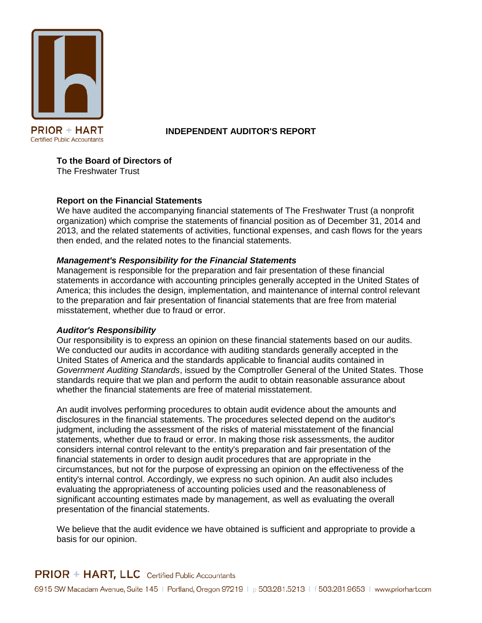

#### **INDEPENDENT AUDITOR'S REPORT**

#### **To the Board of Directors of**

The Freshwater Trust

#### **Report on the Financial Statements**

We have audited the accompanying financial statements of The Freshwater Trust (a nonprofit organization) which comprise the statements of financial position as of December 31, 2014 and 2013, and the related statements of activities, functional expenses, and cash flows for the years then ended, and the related notes to the financial statements.

#### *Management's Responsibility for the Financial Statements*

Management is responsible for the preparation and fair presentation of these financial statements in accordance with accounting principles generally accepted in the United States of America; this includes the design, implementation, and maintenance of internal control relevant to the preparation and fair presentation of financial statements that are free from material misstatement, whether due to fraud or error.

#### *Auditor's Responsibility*

Our responsibility is to express an opinion on these financial statements based on our audits. We conducted our audits in accordance with auditing standards generally accepted in the United States of America and the standards applicable to financial audits contained in *Government Auditing Standards*, issued by the Comptroller General of the United States. Those standards require that we plan and perform the audit to obtain reasonable assurance about whether the financial statements are free of material misstatement.

An audit involves performing procedures to obtain audit evidence about the amounts and disclosures in the financial statements. The procedures selected depend on the auditor's judgment, including the assessment of the risks of material misstatement of the financial statements, whether due to fraud or error. In making those risk assessments, the auditor considers internal control relevant to the entity's preparation and fair presentation of the financial statements in order to design audit procedures that are appropriate in the circumstances, but not for the purpose of expressing an opinion on the effectiveness of the entity's internal control. Accordingly, we express no such opinion. An audit also includes evaluating the appropriateness of accounting policies used and the reasonableness of significant accounting estimates made by management, as well as evaluating the overall presentation of the financial statements.

We believe that the audit evidence we have obtained is sufficient and appropriate to provide a basis for our opinion.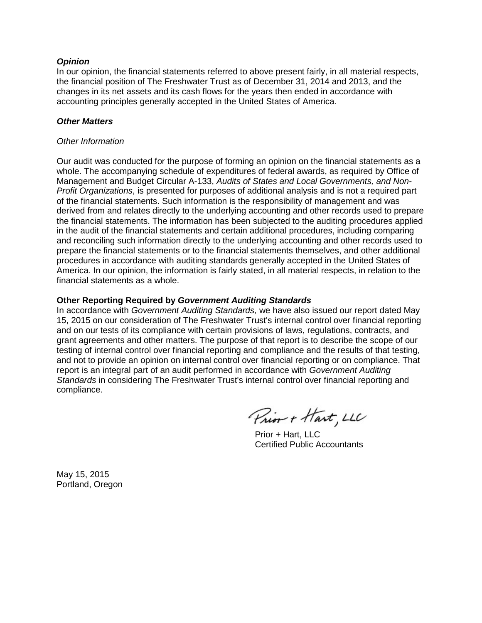#### *Opinion*

In our opinion, the financial statements referred to above present fairly, in all material respects, the financial position of The Freshwater Trust as of December 31, 2014 and 2013, and the changes in its net assets and its cash flows for the years then ended in accordance with accounting principles generally accepted in the United States of America.

#### *Other Matters*

#### *Other Information*

Our audit was conducted for the purpose of forming an opinion on the financial statements as a whole. The accompanying schedule of expenditures of federal awards, as required by Office of Management and Budget Circular A-133, *Audits of States and Local Governments, and Non-Profit Organizations*, is presented for purposes of additional analysis and is not a required part of the financial statements. Such information is the responsibility of management and was derived from and relates directly to the underlying accounting and other records used to prepare the financial statements. The information has been subjected to the auditing procedures applied in the audit of the financial statements and certain additional procedures, including comparing and reconciling such information directly to the underlying accounting and other records used to prepare the financial statements or to the financial statements themselves, and other additional procedures in accordance with auditing standards generally accepted in the United States of America. In our opinion, the information is fairly stated, in all material respects, in relation to the financial statements as a whole.

#### **Other Reporting Required by** *Government Auditing Standards*

In accordance with *Government Auditing Standards,* we have also issued our report dated May 15, 2015 on our consideration of The Freshwater Trust's internal control over financial reporting and on our tests of its compliance with certain provisions of laws, regulations, contracts, and grant agreements and other matters. The purpose of that report is to describe the scope of our testing of internal control over financial reporting and compliance and the results of that testing, and not to provide an opinion on internal control over financial reporting or on compliance. That report is an integral part of an audit performed in accordance with *Government Auditing Standards* in considering The Freshwater Trust's internal control over financial reporting and compliance.

Prior + Hart, LLC

Certified Public Accountants

May 15, 2015 Portland, Oregon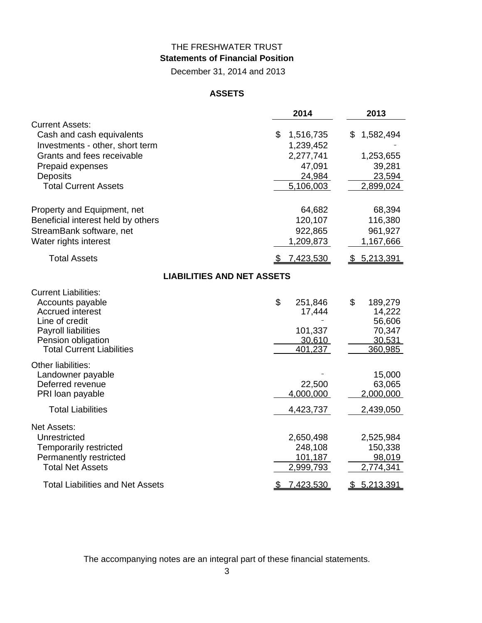## THE FRESHWATER TRUST **Statements of Financial Position**

December 31, 2014 and 2013

### **ASSETS**

|                                                     | 2014                              | 2013                        |
|-----------------------------------------------------|-----------------------------------|-----------------------------|
| <b>Current Assets:</b><br>Cash and cash equivalents | \$<br>1,516,735                   | 1,582,494<br>\$             |
| Investments - other, short term                     | 1,239,452                         |                             |
| Grants and fees receivable                          | 2,277,741                         | 1,253,655                   |
| Prepaid expenses                                    | 47,091                            | 39,281                      |
| Deposits                                            | 24,984                            | 23,594                      |
| <b>Total Current Assets</b>                         | 5,106,003                         | 2,899,024                   |
| Property and Equipment, net                         | 64,682                            | 68,394                      |
| Beneficial interest held by others                  | 120,107                           | 116,380                     |
| StreamBank software, net                            | 922,865                           | 961,927                     |
| Water rights interest                               | 1,209,873                         | 1,167,666                   |
| <b>Total Assets</b>                                 | 7,423,530                         | <u>\$5,213,391</u>          |
|                                                     | <b>LIABILITIES AND NET ASSETS</b> |                             |
| <b>Current Liabilities:</b>                         |                                   |                             |
| Accounts payable                                    | \$<br>251,846                     | \$<br>189,279               |
| <b>Accrued interest</b>                             | 17,444                            | 14,222                      |
| Line of credit                                      |                                   | 56,606                      |
| <b>Payroll liabilities</b>                          | 101,337                           | 70,347                      |
| Pension obligation                                  | 30,610                            | 30,531                      |
| <b>Total Current Liabilities</b>                    | 401,237                           | 360,985                     |
| Other liabilities:                                  |                                   |                             |
| Landowner payable                                   |                                   | 15,000                      |
| Deferred revenue                                    | 22,500                            | 63,065                      |
| PRI loan payable                                    | 4,000,000                         | 2,000,000                   |
| <b>Total Liabilities</b>                            | 4,423,737                         | 2,439,050                   |
| <b>Net Assets:</b>                                  |                                   |                             |
| Unrestricted                                        | 2,650,498                         | 2,525,984                   |
| <b>Temporarily restricted</b>                       | 248,108                           | 150,338                     |
| Permanently restricted                              | 101,187                           | 98,019                      |
| <b>Total Net Assets</b>                             | 2,999,793                         | 2,774,341                   |
| <b>Total Liabilities and Net Assets</b>             | 7,423,530<br>$\mathfrak{L}$       | 5,213,391<br>$\mathfrak{L}$ |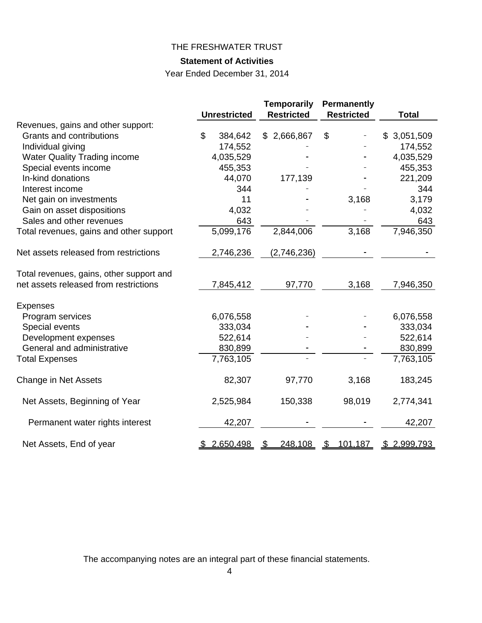#### THE FRESHWATER TRUST

#### **Statement of Activities**

Year Ended December 31, 2014

|                                          |                     | <b>Temporarily</b>   | <b>Permanently</b>   |                    |
|------------------------------------------|---------------------|----------------------|----------------------|--------------------|
|                                          | <b>Unrestricted</b> | <b>Restricted</b>    | <b>Restricted</b>    | <b>Total</b>       |
| Revenues, gains and other support:       |                     |                      |                      |                    |
| Grants and contributions                 | \$<br>384,642       | \$2,666,867          | \$                   | 3,051,509          |
| Individual giving                        | 174,552             |                      |                      | 174,552            |
| <b>Water Quality Trading income</b>      | 4,035,529           |                      |                      | 4,035,529          |
| Special events income                    | 455,353             |                      |                      | 455,353            |
| In-kind donations                        | 44,070              | 177,139              |                      | 221,209            |
| Interest income                          | 344                 |                      |                      | 344                |
| Net gain on investments                  | 11                  |                      | 3,168                | 3,179              |
| Gain on asset dispositions               | 4,032               |                      |                      | 4,032              |
| Sales and other revenues                 | 643                 |                      |                      | 643                |
| Total revenues, gains and other support  | 5,099,176           | 2,844,006            | 3,168                | 7,946,350          |
| Net assets released from restrictions    | 2,746,236           | (2,746,236)          |                      |                    |
| Total revenues, gains, other support and |                     |                      |                      |                    |
| net assets released from restrictions    | 7,845,412           | 97,770               | 3,168                | 7,946,350          |
| <b>Expenses</b>                          |                     |                      |                      |                    |
| Program services                         | 6,076,558           |                      |                      | 6,076,558          |
| Special events                           | 333,034             |                      |                      | 333,034            |
| Development expenses                     | 522,614             |                      |                      | 522,614            |
| General and administrative               | 830,899             |                      |                      | 830,899            |
| <b>Total Expenses</b>                    | 7,763,105           |                      |                      | 7,763,105          |
| Change in Net Assets                     | 82,307              | 97,770               | 3,168                | 183,245            |
| Net Assets, Beginning of Year            | 2,525,984           | 150,338              | 98,019               | 2,774,341          |
| Permanent water rights interest          | 42,207              |                      |                      | 42,207             |
| Net Assets, End of year                  | \$2,650,498         | 248,108<br><u>\$</u> | 101,187<br><u>\$</u> | <u>\$2,999,793</u> |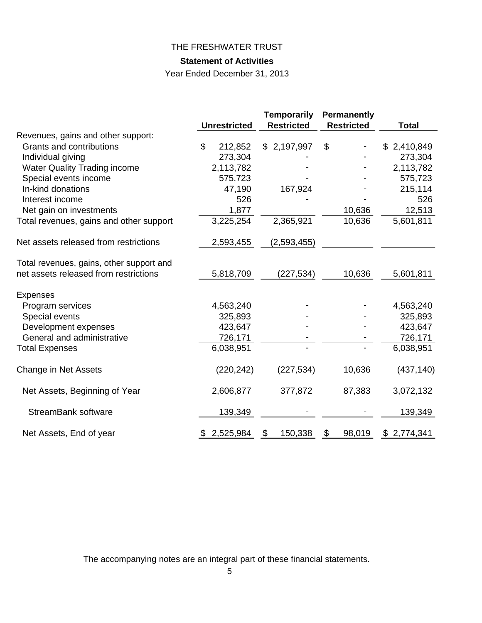#### THE FRESHWATER TRUST

#### **Statement of Activities**

Year Ended December 31, 2013

|                                          | <b>Unrestricted</b> | <b>Temporarily</b><br><b>Restricted</b> |                | <b>Permanently</b><br><b>Restricted</b> | <b>Total</b> |
|------------------------------------------|---------------------|-----------------------------------------|----------------|-----------------------------------------|--------------|
| Revenues, gains and other support:       |                     |                                         |                |                                         |              |
| Grants and contributions                 | \$<br>212,852       | \$2,197,997                             | \$             |                                         | \$2,410,849  |
| Individual giving                        | 273,304             |                                         |                |                                         | 273,304      |
| <b>Water Quality Trading income</b>      | 2,113,782           |                                         |                |                                         | 2,113,782    |
| Special events income                    | 575,723             |                                         |                |                                         | 575,723      |
| In-kind donations                        | 47,190              | 167,924                                 |                |                                         | 215,114      |
| Interest income                          | 526                 |                                         |                |                                         | 526          |
| Net gain on investments                  | 1,877               |                                         |                | 10,636                                  | 12,513       |
| Total revenues, gains and other support  | 3,225,254           | 2,365,921                               |                | 10,636                                  | 5,601,811    |
| Net assets released from restrictions    | 2,593,455           | (2,593,455)                             |                |                                         |              |
| Total revenues, gains, other support and |                     |                                         |                |                                         |              |
| net assets released from restrictions    | 5,818,709           | (227, 534)                              |                | 10,636                                  | 5,601,811    |
| <b>Expenses</b>                          |                     |                                         |                |                                         |              |
| Program services                         | 4,563,240           |                                         |                |                                         | 4,563,240    |
| Special events                           | 325,893             |                                         |                |                                         | 325,893      |
| Development expenses                     | 423,647             |                                         |                |                                         | 423,647      |
| General and administrative               | 726,171             |                                         |                |                                         | 726,171      |
| <b>Total Expenses</b>                    | 6,038,951           |                                         |                |                                         | 6,038,951    |
| Change in Net Assets                     | (220, 242)          | (227, 534)                              |                | 10,636                                  | (437, 140)   |
| Net Assets, Beginning of Year            | 2,606,877           | 377,872                                 |                | 87,383                                  | 3,072,132    |
| <b>StreamBank software</b>               | 139,349             |                                         |                |                                         | 139,349      |
| Net Assets, End of year                  | \$2,525,984         | $\mathfrak{F}$<br>150,338               | $\mathfrak{F}$ | 98,019                                  | \$2,774,341  |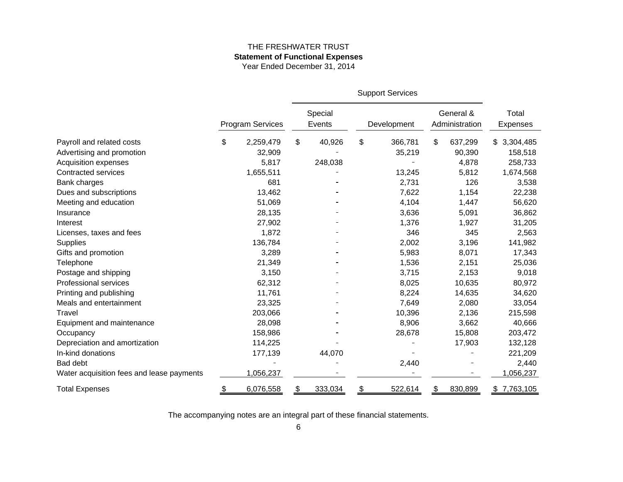#### THE FRESHWATER TRUST **Statement of Functional Expenses** Year Ended December 31, 2014

|                                           |                         |           | <b>Support Services</b> |                   |    |             |                             |         |                          |
|-------------------------------------------|-------------------------|-----------|-------------------------|-------------------|----|-------------|-----------------------------|---------|--------------------------|
|                                           | <b>Program Services</b> |           |                         | Special<br>Events |    | Development | General &<br>Administration |         | Total<br><b>Expenses</b> |
| Payroll and related costs                 | \$                      | 2,259,479 | \$                      | 40,926            | \$ | 366,781     | \$                          | 637,299 | \$3,304,485              |
| Advertising and promotion                 |                         | 32,909    |                         |                   |    | 35,219      |                             | 90,390  | 158,518                  |
| Acquisition expenses                      |                         | 5,817     |                         | 248,038           |    |             |                             | 4,878   | 258,733                  |
| Contracted services                       |                         | 1,655,511 |                         |                   |    | 13,245      |                             | 5,812   | 1,674,568                |
| Bank charges                              |                         | 681       |                         |                   |    | 2,731       |                             | 126     | 3,538                    |
| Dues and subscriptions                    |                         | 13,462    |                         |                   |    | 7,622       |                             | 1,154   | 22,238                   |
| Meeting and education                     |                         | 51,069    |                         |                   |    | 4,104       |                             | 1,447   | 56,620                   |
| Insurance                                 |                         | 28,135    |                         |                   |    | 3,636       |                             | 5,091   | 36,862                   |
| Interest                                  |                         | 27,902    |                         |                   |    | 1,376       |                             | 1,927   | 31,205                   |
| Licenses, taxes and fees                  |                         | 1,872     |                         |                   |    | 346         |                             | 345     | 2,563                    |
| Supplies                                  |                         | 136,784   |                         |                   |    | 2,002       |                             | 3,196   | 141,982                  |
| Gifts and promotion                       |                         | 3,289     |                         |                   |    | 5,983       |                             | 8,071   | 17,343                   |
| Telephone                                 |                         | 21,349    |                         |                   |    | 1,536       |                             | 2,151   | 25,036                   |
| Postage and shipping                      |                         | 3,150     |                         |                   |    | 3,715       |                             | 2,153   | 9,018                    |
| Professional services                     |                         | 62,312    |                         |                   |    | 8,025       |                             | 10,635  | 80,972                   |
| Printing and publishing                   |                         | 11,761    |                         |                   |    | 8,224       |                             | 14,635  | 34,620                   |
| Meals and entertainment                   |                         | 23,325    |                         |                   |    | 7,649       |                             | 2,080   | 33,054                   |
| Travel                                    |                         | 203,066   |                         |                   |    | 10,396      |                             | 2,136   | 215,598                  |
| Equipment and maintenance                 |                         | 28,098    |                         |                   |    | 8,906       |                             | 3,662   | 40,666                   |
| Occupancy                                 |                         | 158,986   |                         |                   |    | 28,678      |                             | 15,808  | 203,472                  |
| Depreciation and amortization             |                         | 114,225   |                         |                   |    |             |                             | 17,903  | 132,128                  |
| In-kind donations                         |                         | 177,139   |                         | 44,070            |    |             |                             |         | 221,209                  |
| Bad debt                                  |                         |           |                         |                   |    | 2,440       |                             |         | 2,440                    |
| Water acquisition fees and lease payments |                         | 1,056,237 |                         |                   |    |             |                             |         | 1,056,237                |
| <b>Total Expenses</b>                     | ≗                       | 6,076,558 | \$                      | 333,034           | \$ | 522,614     | \$                          | 830,899 | 7,763,105<br>\$          |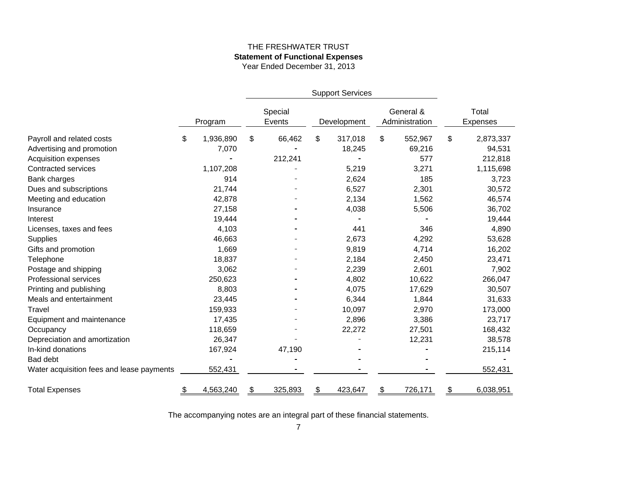#### THE FRESHWATER TRUST **Statement of Functional Expenses** Year Ended December 31, 2013

|                                           |                 |                   | <b>Support Services</b> |             |    |                             |    |                          |
|-------------------------------------------|-----------------|-------------------|-------------------------|-------------|----|-----------------------------|----|--------------------------|
|                                           | Program         | Special<br>Events |                         | Development |    | General &<br>Administration |    | Total<br><b>Expenses</b> |
| Payroll and related costs                 | \$<br>1,936,890 | \$<br>66,462      | \$                      | 317,018     | \$ | 552,967                     | \$ | 2,873,337                |
| Advertising and promotion                 | 7,070           |                   |                         | 18,245      |    | 69,216                      |    | 94,531                   |
| <b>Acquisition expenses</b>               |                 | 212,241           |                         |             |    | 577                         |    | 212,818                  |
| Contracted services                       | 1,107,208       |                   |                         | 5,219       |    | 3,271                       |    | 1,115,698                |
| Bank charges                              | 914             |                   |                         | 2,624       |    | 185                         |    | 3,723                    |
| Dues and subscriptions                    | 21,744          |                   |                         | 6,527       |    | 2,301                       |    | 30,572                   |
| Meeting and education                     | 42,878          |                   |                         | 2,134       |    | 1,562                       |    | 46,574                   |
| Insurance                                 | 27,158          |                   |                         | 4,038       |    | 5,506                       |    | 36,702                   |
| Interest                                  | 19,444          |                   |                         |             |    |                             |    | 19,444                   |
| Licenses, taxes and fees                  | 4,103           |                   |                         | 441         |    | 346                         |    | 4,890                    |
| <b>Supplies</b>                           | 46,663          |                   |                         | 2,673       |    | 4,292                       |    | 53,628                   |
| Gifts and promotion                       | 1,669           |                   |                         | 9,819       |    | 4,714                       |    | 16,202                   |
| Telephone                                 | 18,837          |                   |                         | 2,184       |    | 2,450                       |    | 23,471                   |
| Postage and shipping                      | 3,062           |                   |                         | 2,239       |    | 2,601                       |    | 7,902                    |
| Professional services                     | 250,623         |                   |                         | 4,802       |    | 10,622                      |    | 266,047                  |
| Printing and publishing                   | 8,803           |                   |                         | 4,075       |    | 17,629                      |    | 30,507                   |
| Meals and entertainment                   | 23,445          |                   |                         | 6,344       |    | 1,844                       |    | 31,633                   |
| Travel                                    | 159,933         |                   |                         | 10,097      |    | 2,970                       |    | 173,000                  |
| Equipment and maintenance                 | 17,435          |                   |                         | 2,896       |    | 3,386                       |    | 23,717                   |
| Occupancy                                 | 118,659         |                   |                         | 22,272      |    | 27,501                      |    | 168,432                  |
| Depreciation and amortization             | 26,347          |                   |                         |             |    | 12,231                      |    | 38,578                   |
| In-kind donations                         | 167,924         | 47,190            |                         |             |    |                             |    | 215,114                  |
| Bad debt                                  |                 |                   |                         |             |    |                             |    |                          |
| Water acquisition fees and lease payments | 552,431         |                   |                         |             |    |                             |    | 552,431                  |
| <b>Total Expenses</b>                     | \$<br>4,563,240 | \$<br>325,893     | \$                      | 423,647     | \$ | 726,171                     | \$ | 6,038,951                |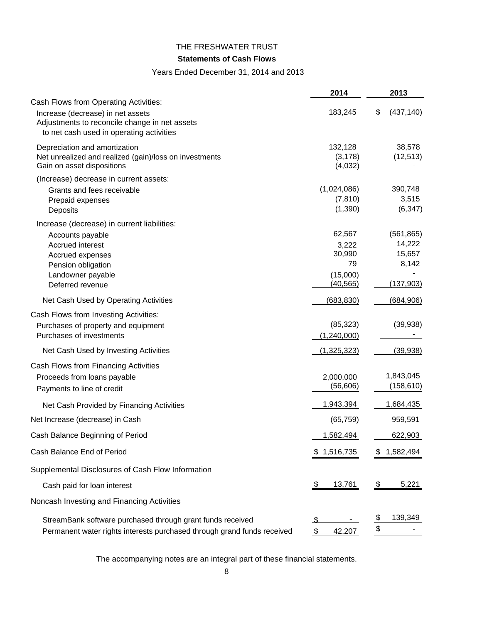#### THE FRESHWATER TRUST

#### **Statements of Cash Flows**

Years Ended December 31, 2014 and 2013

|                                                                                                                                                                         | 2014                                                     | 2013                                                  |
|-------------------------------------------------------------------------------------------------------------------------------------------------------------------------|----------------------------------------------------------|-------------------------------------------------------|
| Cash Flows from Operating Activities:<br>Increase (decrease) in net assets<br>Adjustments to reconcile change in net assets<br>to net cash used in operating activities | 183,245                                                  | \$<br>(437, 140)                                      |
| Depreciation and amortization<br>Net unrealized and realized (gain)/loss on investments<br>Gain on asset dispositions                                                   | 132,128<br>(3, 178)<br>(4,032)                           | 38,578<br>(12, 513)                                   |
| (Increase) decrease in current assets:<br>Grants and fees receivable<br>Prepaid expenses<br>Deposits                                                                    | (1,024,086)<br>(7, 810)<br>(1,390)                       | 390,748<br>3,515<br>(6, 347)                          |
| Increase (decrease) in current liabilities:<br>Accounts payable<br>Accrued interest<br>Accrued expenses<br>Pension obligation<br>Landowner payable<br>Deferred revenue  | 62,567<br>3,222<br>30,990<br>79<br>(15,000)<br>(40, 565) | (561, 865)<br>14,222<br>15,657<br>8,142<br>(137, 903) |
| Net Cash Used by Operating Activities                                                                                                                                   | (683, 830)                                               | (684, 906)                                            |
| Cash Flows from Investing Activities:<br>Purchases of property and equipment<br>Purchases of investments                                                                | (85, 323)<br>(1,240,000)                                 | (39, 938)                                             |
| Net Cash Used by Investing Activities                                                                                                                                   | (1, 325, 323)                                            | (39, 938)                                             |
| Cash Flows from Financing Activities<br>Proceeds from loans payable<br>Payments to line of credit                                                                       | 2,000,000<br>(56, 606)                                   | 1,843,045<br>(158, 610)                               |
| Net Cash Provided by Financing Activities                                                                                                                               | 1,943,394                                                | 1,684,435                                             |
| Net Increase (decrease) in Cash                                                                                                                                         | (65, 759)                                                | 959,591                                               |
| Cash Balance Beginning of Period                                                                                                                                        | 1,582,494                                                | 622,903                                               |
| Cash Balance End of Period                                                                                                                                              | 1,516,735                                                | 1,582,494                                             |
| Supplemental Disclosures of Cash Flow Information                                                                                                                       |                                                          |                                                       |
| Cash paid for loan interest                                                                                                                                             | $\frac{1}{2}$<br>13,761                                  | \$<br>5,221                                           |
| Noncash Investing and Financing Activities                                                                                                                              |                                                          |                                                       |
| StreamBank software purchased through grant funds received<br>Permanent water rights interests purchased through grand funds received                                   | \$<br>42.207                                             | 139,349                                               |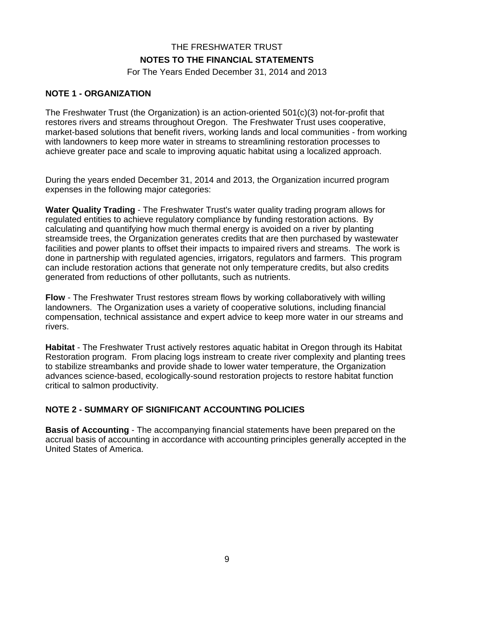For The Years Ended December 31, 2014 and 2013

#### **NOTE 1 - ORGANIZATION**

The Freshwater Trust (the Organization) is an action-oriented 501(c)(3) not-for-profit that restores rivers and streams throughout Oregon. The Freshwater Trust uses cooperative, market-based solutions that benefit rivers, working lands and local communities - from working with landowners to keep more water in streams to streamlining restoration processes to achieve greater pace and scale to improving aquatic habitat using a localized approach.

During the years ended December 31, 2014 and 2013, the Organization incurred program expenses in the following major categories:

**Water Quality Trading** - The Freshwater Trust's water quality trading program allows for regulated entities to achieve regulatory compliance by funding restoration actions. By calculating and quantifying how much thermal energy is avoided on a river by planting streamside trees, the Organization generates credits that are then purchased by wastewater facilities and power plants to offset their impacts to impaired rivers and streams. The work is done in partnership with regulated agencies, irrigators, regulators and farmers. This program can include restoration actions that generate not only temperature credits, but also credits generated from reductions of other pollutants, such as nutrients.

**Flow** - The Freshwater Trust restores stream flows by working collaboratively with willing landowners. The Organization uses a variety of cooperative solutions, including financial compensation, technical assistance and expert advice to keep more water in our streams and rivers.

**Habitat** - The Freshwater Trust actively restores aquatic habitat in Oregon through its Habitat Restoration program. From placing logs instream to create river complexity and planting trees to stabilize streambanks and provide shade to lower water temperature, the Organization advances science-based, ecologically-sound restoration projects to restore habitat function critical to salmon productivity.

#### **NOTE 2 - SUMMARY OF SIGNIFICANT ACCOUNTING POLICIES**

**Basis of Accounting** - The accompanying financial statements have been prepared on the accrual basis of accounting in accordance with accounting principles generally accepted in the United States of America.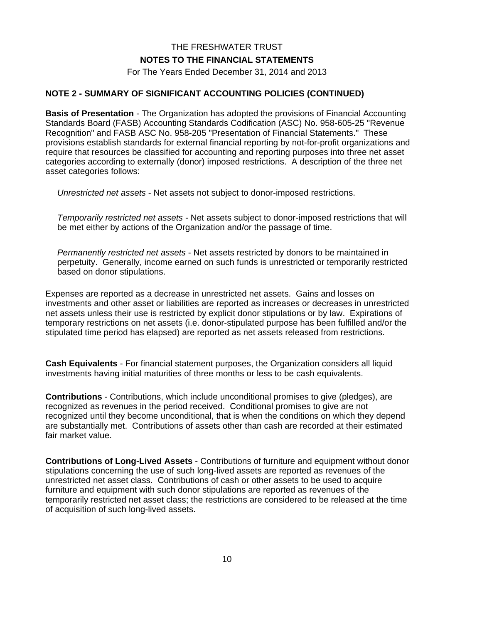For The Years Ended December 31, 2014 and 2013

#### **NOTE 2 - SUMMARY OF SIGNIFICANT ACCOUNTING POLICIES (CONTINUED)**

**Basis of Presentation** - The Organization has adopted the provisions of Financial Accounting Standards Board (FASB) Accounting Standards Codification (ASC) No. 958-605-25 "Revenue Recognition" and FASB ASC No. 958-205 "Presentation of Financial Statements." These provisions establish standards for external financial reporting by not-for-profit organizations and require that resources be classified for accounting and reporting purposes into three net asset categories according to externally (donor) imposed restrictions. A description of the three net asset categories follows:

*Unrestricted net assets* - Net assets not subject to donor-imposed restrictions.

*Temporarily restricted net assets* - Net assets subject to donor-imposed restrictions that will be met either by actions of the Organization and/or the passage of time.

*Permanently restricted net assets* - Net assets restricted by donors to be maintained in perpetuity. Generally, income earned on such funds is unrestricted or temporarily restricted based on donor stipulations.

Expenses are reported as a decrease in unrestricted net assets. Gains and losses on investments and other asset or liabilities are reported as increases or decreases in unrestricted net assets unless their use is restricted by explicit donor stipulations or by law. Expirations of temporary restrictions on net assets (i.e. donor-stipulated purpose has been fulfilled and/or the stipulated time period has elapsed) are reported as net assets released from restrictions.

**Cash Equivalents** - For financial statement purposes, the Organization considers all liquid investments having initial maturities of three months or less to be cash equivalents.

**Contributions** - Contributions, which include unconditional promises to give (pledges), are recognized as revenues in the period received. Conditional promises to give are not recognized until they become unconditional, that is when the conditions on which they depend are substantially met. Contributions of assets other than cash are recorded at their estimated fair market value.

**Contributions of Long-Lived Assets** - Contributions of furniture and equipment without donor stipulations concerning the use of such long-lived assets are reported as revenues of the unrestricted net asset class. Contributions of cash or other assets to be used to acquire furniture and equipment with such donor stipulations are reported as revenues of the temporarily restricted net asset class; the restrictions are considered to be released at the time of acquisition of such long-lived assets.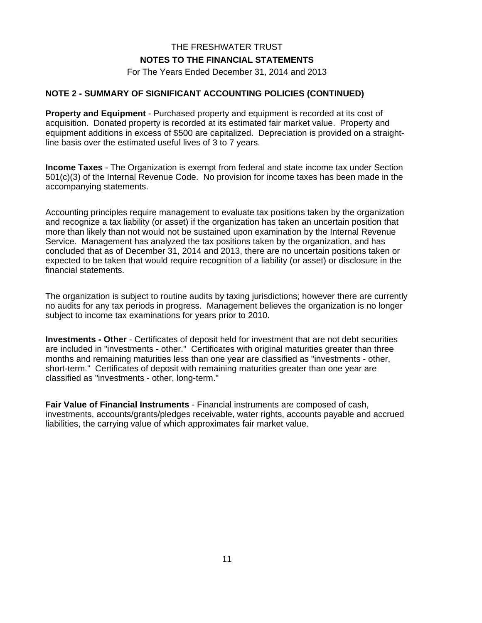For The Years Ended December 31, 2014 and 2013

#### **NOTE 2 - SUMMARY OF SIGNIFICANT ACCOUNTING POLICIES (CONTINUED)**

**Property and Equipment** - Purchased property and equipment is recorded at its cost of acquisition. Donated property is recorded at its estimated fair market value. Property and equipment additions in excess of \$500 are capitalized. Depreciation is provided on a straightline basis over the estimated useful lives of 3 to 7 years.

**Income Taxes** - The Organization is exempt from federal and state income tax under Section 501(c)(3) of the Internal Revenue Code. No provision for income taxes has been made in the accompanying statements.

Accounting principles require management to evaluate tax positions taken by the organization and recognize a tax liability (or asset) if the organization has taken an uncertain position that more than likely than not would not be sustained upon examination by the Internal Revenue Service. Management has analyzed the tax positions taken by the organization, and has concluded that as of December 31, 2014 and 2013, there are no uncertain positions taken or expected to be taken that would require recognition of a liability (or asset) or disclosure in the financial statements.

The organization is subject to routine audits by taxing jurisdictions; however there are currently no audits for any tax periods in progress. Management believes the organization is no longer subject to income tax examinations for years prior to 2010.

**Investments - Other** - Certificates of deposit held for investment that are not debt securities are included in "investments - other." Certificates with original maturities greater than three months and remaining maturities less than one year are classified as "investments - other, short-term." Certificates of deposit with remaining maturities greater than one year are classified as "investments - other, long-term."

**Fair Value of Financial Instruments** - Financial instruments are composed of cash, investments, accounts/grants/pledges receivable, water rights, accounts payable and accrued liabilities, the carrying value of which approximates fair market value.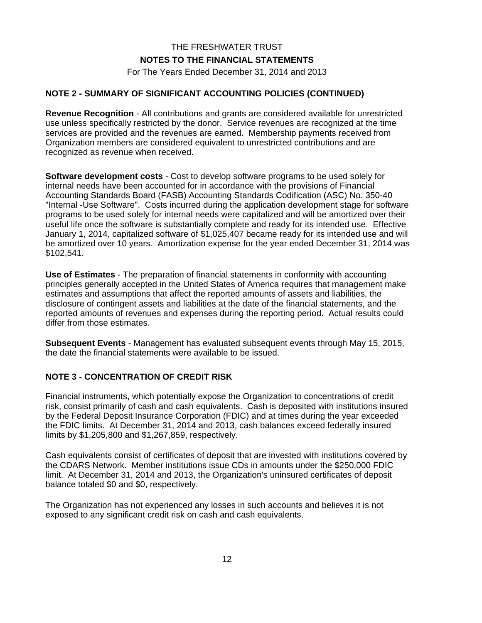For The Years Ended December 31, 2014 and 2013

#### **NOTE 2 - SUMMARY OF SIGNIFICANT ACCOUNTING POLICIES (CONTINUED)**

**Revenue Recognition** - All contributions and grants are considered available for unrestricted use unless specifically restricted by the donor. Service revenues are recognized at the time services are provided and the revenues are earned. Membership payments received from Organization members are considered equivalent to unrestricted contributions and are recognized as revenue when received.

**Software development costs** - Cost to develop software programs to be used solely for internal needs have been accounted for in accordance with the provisions of Financial Accounting Standards Board (FASB) Accounting Standards Codification (ASC) No. 350-40 "Internal -Use Software". Costs incurred during the application development stage for software programs to be used solely for internal needs were capitalized and will be amortized over their useful life once the software is substantially complete and ready for its intended use. Effective January 1, 2014, capitalized software of \$1,025,407 became ready for its intended use and will be amortized over 10 years. Amortization expense for the year ended December 31, 2014 was \$102,541.

**Use of Estimates** - The preparation of financial statements in conformity with accounting principles generally accepted in the United States of America requires that management make estimates and assumptions that affect the reported amounts of assets and liabilities, the disclosure of contingent assets and liabilities at the date of the financial statements, and the reported amounts of revenues and expenses during the reporting period. Actual results could differ from those estimates.

**Subsequent Events** - Management has evaluated subsequent events through May 15, 2015, the date the financial statements were available to be issued.

#### **NOTE 3 - CONCENTRATION OF CREDIT RISK**

Financial instruments, which potentially expose the Organization to concentrations of credit risk, consist primarily of cash and cash equivalents. Cash is deposited with institutions insured by the Federal Deposit Insurance Corporation (FDIC) and at times during the year exceeded the FDIC limits. At December 31, 2014 and 2013, cash balances exceed federally insured limits by \$1,205,800 and \$1,267,859, respectively.

Cash equivalents consist of certificates of deposit that are invested with institutions covered by the CDARS Network. Member institutions issue CDs in amounts under the \$250,000 FDIC limit. At December 31, 2014 and 2013, the Organization's uninsured certificates of deposit balance totaled \$0 and \$0, respectively.

The Organization has not experienced any losses in such accounts and believes it is not exposed to any significant credit risk on cash and cash equivalents.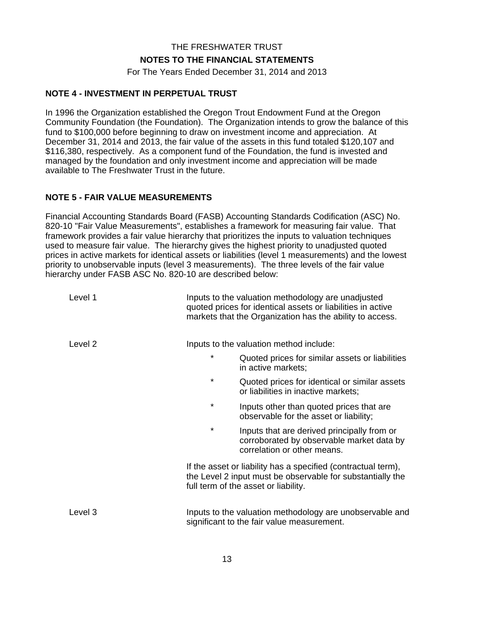For The Years Ended December 31, 2014 and 2013

#### **NOTE 4 - INVESTMENT IN PERPETUAL TRUST**

In 1996 the Organization established the Oregon Trout Endowment Fund at the Oregon Community Foundation (the Foundation). The Organization intends to grow the balance of this fund to \$100,000 before beginning to draw on investment income and appreciation. At December 31, 2014 and 2013, the fair value of the assets in this fund totaled \$120,107 and \$116,380, respectively. As a component fund of the Foundation, the fund is invested and managed by the foundation and only investment income and appreciation will be made available to The Freshwater Trust in the future.

#### **NOTE 5 - FAIR VALUE MEASUREMENTS**

Financial Accounting Standards Board (FASB) Accounting Standards Codification (ASC) No. 820-10 "Fair Value Measurements", establishes a framework for measuring fair value. That framework provides a fair value hierarchy that prioritizes the inputs to valuation techniques used to measure fair value. The hierarchy gives the highest priority to unadjusted quoted prices in active markets for identical assets or liabilities (level 1 measurements) and the lowest priority to unobservable inputs (level 3 measurements). The three levels of the fair value hierarchy under FASB ASC No. 820-10 are described below:

| Level 1 | Inputs to the valuation methodology are unadjusted<br>quoted prices for identical assets or liabilities in active<br>markets that the Organization has the ability to access. |
|---------|-------------------------------------------------------------------------------------------------------------------------------------------------------------------------------|
| Level 2 | Inputs to the valuation method include:                                                                                                                                       |
|         | $\star$<br>Quoted prices for similar assets or liabilities<br>in active markets;                                                                                              |
|         | *<br>Quoted prices for identical or similar assets<br>or liabilities in inactive markets;                                                                                     |
|         | $^\star$<br>Inputs other than quoted prices that are<br>observable for the asset or liability;                                                                                |
|         | $\star$<br>Inputs that are derived principally from or<br>corroborated by observable market data by<br>correlation or other means.                                            |
|         | If the asset or liability has a specified (contractual term),<br>the Level 2 input must be observable for substantially the<br>full term of the asset or liability.           |
| Level 3 | Inputs to the valuation methodology are unobservable and<br>significant to the fair value measurement.                                                                        |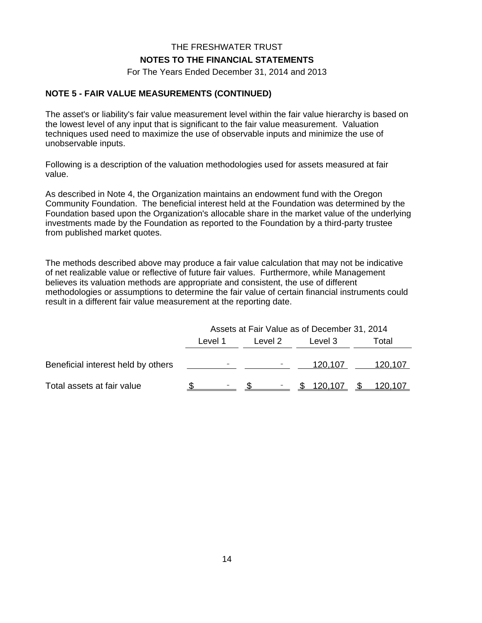For The Years Ended December 31, 2014 and 2013

#### **NOTE 5 - FAIR VALUE MEASUREMENTS (CONTINUED)**

The asset's or liability's fair value measurement level within the fair value hierarchy is based on the lowest level of any input that is significant to the fair value measurement. Valuation techniques used need to maximize the use of observable inputs and minimize the use of unobservable inputs.

Following is a description of the valuation methodologies used for assets measured at fair value.

As described in Note 4, the Organization maintains an endowment fund with the Oregon Community Foundation. The beneficial interest held at the Foundation was determined by the Foundation based upon the Organization's allocable share in the market value of the underlying investments made by the Foundation as reported to the Foundation by a third-party trustee from published market quotes.

The methods described above may produce a fair value calculation that may not be indicative of net realizable value or reflective of future fair values. Furthermore, while Management believes its valuation methods are appropriate and consistent, the use of different methodologies or assumptions to determine the fair value of certain financial instruments could result in a different fair value measurement at the reporting date.

|                                    | Assets at Fair Value as of December 31, 2014 |                          |                       |         |  |  |  |  |  |
|------------------------------------|----------------------------------------------|--------------------------|-----------------------|---------|--|--|--|--|--|
|                                    | Level 1                                      | Level 2                  | Level 3               | Total   |  |  |  |  |  |
| Beneficial interest held by others | $\qquad \qquad \blacksquare$                 | $\overline{\phantom{a}}$ | 120.107               | 120.107 |  |  |  |  |  |
| Total assets at fair value         |                                              |                          | $\text{\$}$ 5 120.107 | 120.107 |  |  |  |  |  |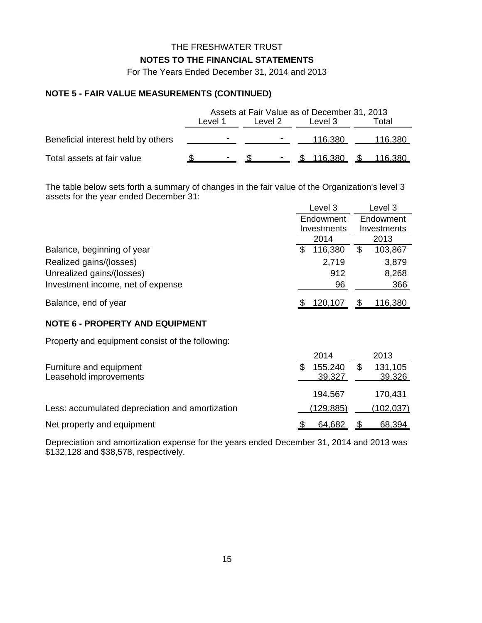For The Years Ended December 31, 2014 and 2013

#### **NOTE 5 - FAIR VALUE MEASUREMENTS (CONTINUED)**

|                                    | Assets at Fair Value as of December 31, 2013 |                          |  |         |  |                                                                        |  |                  |  |
|------------------------------------|----------------------------------------------|--------------------------|--|---------|--|------------------------------------------------------------------------|--|------------------|--|
|                                    |                                              | Level 1                  |  | Level 2 |  | Level 3                                                                |  | Total            |  |
| Beneficial interest held by others |                                              | $\overline{\phantom{a}}$ |  | -       |  | 116.380                                                                |  | 116.380          |  |
| Total assets at fair value         |                                              |                          |  |         |  | $\begin{array}{cccc} \text{S} & \text{116.380} & \text{S} \end{array}$ |  | <u> 116.380 </u> |  |

The table below sets forth a summary of changes in the fair value of the Organization's level 3 assets for the year ended December 31:  $L$ evel 3  $\overline{3}$  Level 3

|                                   |   | Level 3     |             | Level 3   |  |
|-----------------------------------|---|-------------|-------------|-----------|--|
|                                   |   | Endowment   |             | Endowment |  |
|                                   |   | Investments | Investments |           |  |
|                                   |   | 2014        |             | 2013      |  |
| Balance, beginning of year        | S | 116,380     | \$          | 103,867   |  |
| Realized gains/(losses)           |   | 2,719       |             | 3,879     |  |
| Unrealized gains/(losses)         |   | 912         |             | 8,268     |  |
| Investment income, net of expense |   | 96          |             | 366       |  |
| Balance, end of year              |   | 120,107     |             | 116,380   |  |

#### **NOTE 6 - PROPERTY AND EQUIPMENT**

Property and equipment consist of the following:

|                                                 | 2014       | 2013          |
|-------------------------------------------------|------------|---------------|
| Furniture and equipment                         | 155,240    | \$<br>131,105 |
| Leasehold improvements                          | 39,327     | 39,326        |
|                                                 | 194,567    | 170,431       |
| Less: accumulated depreciation and amortization | (129, 885) | (102, 037)    |
| Net property and equipment                      | 64,682     | 68,394        |

Depreciation and amortization expense for the years ended December 31, 2014 and 2013 was \$132,128 and \$38,578, respectively.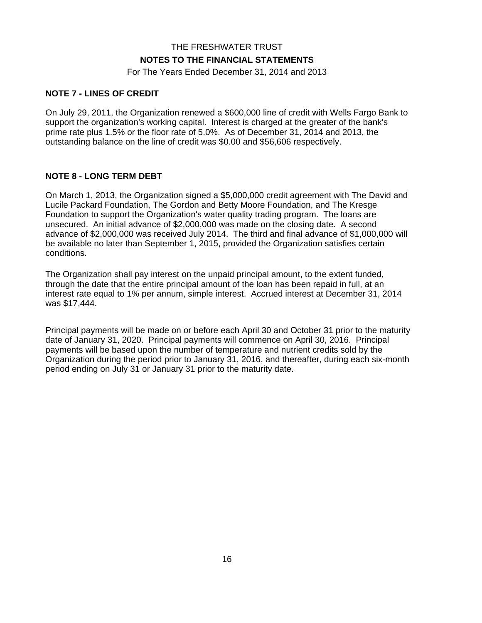For The Years Ended December 31, 2014 and 2013

#### **NOTE 7 - LINES OF CREDIT**

On July 29, 2011, the Organization renewed a \$600,000 line of credit with Wells Fargo Bank to support the organization's working capital. Interest is charged at the greater of the bank's prime rate plus 1.5% or the floor rate of 5.0%. As of December 31, 2014 and 2013, the outstanding balance on the line of credit was \$0.00 and \$56,606 respectively.

#### **NOTE 8 - LONG TERM DEBT**

On March 1, 2013, the Organization signed a \$5,000,000 credit agreement with The David and Lucile Packard Foundation, The Gordon and Betty Moore Foundation, and The Kresge Foundation to support the Organization's water quality trading program. The loans are unsecured. An initial advance of \$2,000,000 was made on the closing date. A second advance of \$2,000,000 was received July 2014. The third and final advance of \$1,000,000 will be available no later than September 1, 2015, provided the Organization satisfies certain conditions.

The Organization shall pay interest on the unpaid principal amount, to the extent funded, through the date that the entire principal amount of the loan has been repaid in full, at an interest rate equal to 1% per annum, simple interest. Accrued interest at December 31, 2014 was \$17,444.

Principal payments will be made on or before each April 30 and October 31 prior to the maturity date of January 31, 2020. Principal payments will commence on April 30, 2016. Principal payments will be based upon the number of temperature and nutrient credits sold by the Organization during the period prior to January 31, 2016, and thereafter, during each six-month period ending on July 31 or January 31 prior to the maturity date.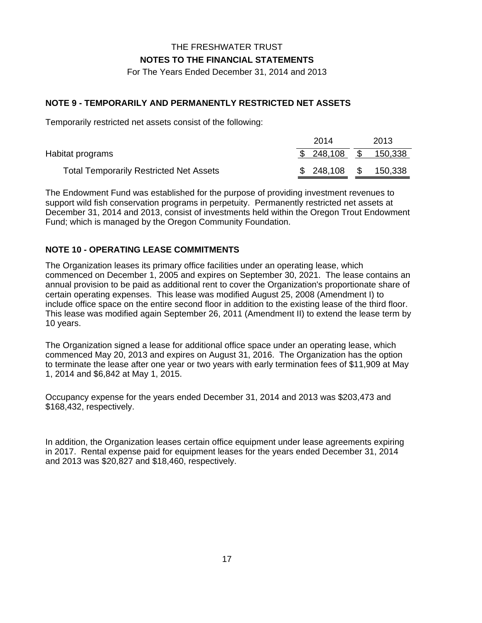For The Years Ended December 31, 2014 and 2013

#### **NOTE 9 - TEMPORARILY AND PERMANENTLY RESTRICTED NET ASSETS**

Temporarily restricted net assets consist of the following:

|                                                | 2014      |          | 2013       |
|------------------------------------------------|-----------|----------|------------|
| Habitat programs                               | \$248,108 | <b>S</b> | 150,338    |
| <b>Total Temporarily Restricted Net Assets</b> | \$248,108 |          | \$ 150,338 |

The Endowment Fund was established for the purpose of providing investment revenues to support wild fish conservation programs in perpetuity. Permanently restricted net assets at December 31, 2014 and 2013, consist of investments held within the Oregon Trout Endowment Fund; which is managed by the Oregon Community Foundation.

#### **NOTE 10 - OPERATING LEASE COMMITMENTS**

The Organization leases its primary office facilities under an operating lease, which commenced on December 1, 2005 and expires on September 30, 2021. The lease contains an annual provision to be paid as additional rent to cover the Organization's proportionate share of certain operating expenses. This lease was modified August 25, 2008 (Amendment I) to include office space on the entire second floor in addition to the existing lease of the third floor. This lease was modified again September 26, 2011 (Amendment II) to extend the lease term by 10 years.

The Organization signed a lease for additional office space under an operating lease, which commenced May 20, 2013 and expires on August 31, 2016. The Organization has the option to terminate the lease after one year or two years with early termination fees of \$11,909 at May 1, 2014 and \$6,842 at May 1, 2015.

Occupancy expense for the years ended December 31, 2014 and 2013 was \$203,473 and \$168,432, respectively.

In addition, the Organization leases certain office equipment under lease agreements expiring in 2017. Rental expense paid for equipment leases for the years ended December 31, 2014 and 2013 was \$20,827 and \$18,460, respectively.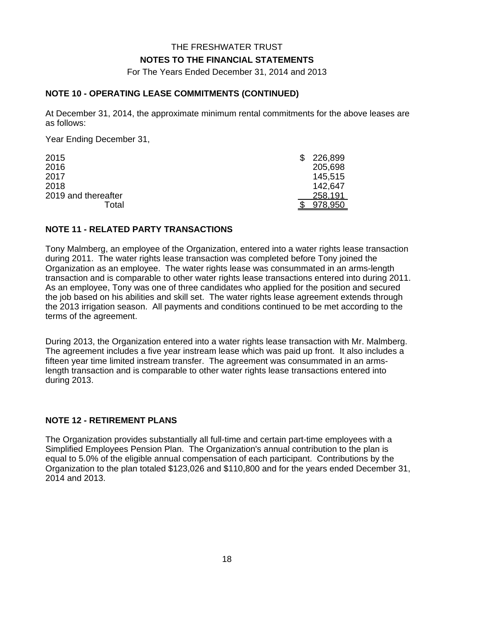For The Years Ended December 31, 2014 and 2013

#### **NOTE 10 - OPERATING LEASE COMMITMENTS (CONTINUED)**

At December 31, 2014, the approximate minimum rental commitments for the above leases are as follows:

Year Ending December 31,

| 2015                | \$. | 226,899 |
|---------------------|-----|---------|
| 2016                |     | 205,698 |
| 2017                |     | 145,515 |
| 2018                |     | 142,647 |
| 2019 and thereafter |     | 258,191 |
| Total               |     | 978,950 |

#### **NOTE 11 - RELATED PARTY TRANSACTIONS**

Tony Malmberg, an employee of the Organization, entered into a water rights lease transaction during 2011. The water rights lease transaction was completed before Tony joined the Organization as an employee. The water rights lease was consummated in an arms-length transaction and is comparable to other water rights lease transactions entered into during 2011. As an employee, Tony was one of three candidates who applied for the position and secured the job based on his abilities and skill set. The water rights lease agreement extends through the 2013 irrigation season. All payments and conditions continued to be met according to the terms of the agreement.

During 2013, the Organization entered into a water rights lease transaction with Mr. Malmberg. The agreement includes a five year instream lease which was paid up front. It also includes a fifteen year time limited instream transfer. The agreement was consummated in an armslength transaction and is comparable to other water rights lease transactions entered into during 2013.

#### **NOTE 12 - RETIREMENT PLANS**

The Organization provides substantially all full-time and certain part-time employees with a Simplified Employees Pension Plan. The Organization's annual contribution to the plan is equal to 5.0% of the eligible annual compensation of each participant. Contributions by the Organization to the plan totaled \$123,026 and \$110,800 and for the years ended December 31, 2014 and 2013.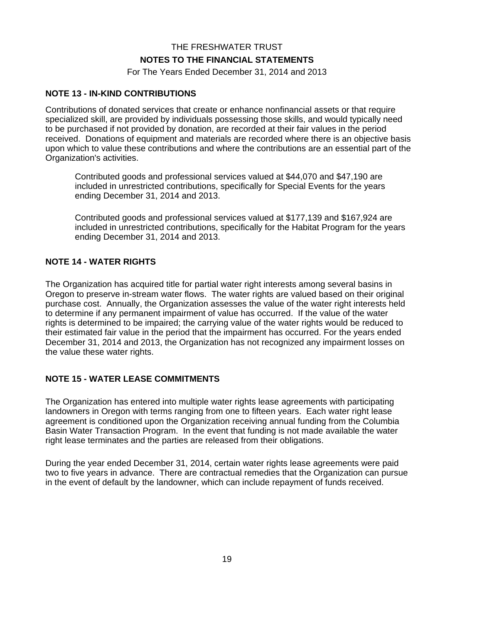For The Years Ended December 31, 2014 and 2013

#### **NOTE 13 - IN-KIND CONTRIBUTIONS**

Contributions of donated services that create or enhance nonfinancial assets or that require specialized skill, are provided by individuals possessing those skills, and would typically need to be purchased if not provided by donation, are recorded at their fair values in the period received. Donations of equipment and materials are recorded where there is an objective basis upon which to value these contributions and where the contributions are an essential part of the Organization's activities.

Contributed goods and professional services valued at \$44,070 and \$47,190 are included in unrestricted contributions, specifically for Special Events for the years ending December 31, 2014 and 2013.

Contributed goods and professional services valued at \$177,139 and \$167,924 are included in unrestricted contributions, specifically for the Habitat Program for the years ending December 31, 2014 and 2013.

#### **NOTE 14 - WATER RIGHTS**

The Organization has acquired title for partial water right interests among several basins in Oregon to preserve in-stream water flows. The water rights are valued based on their original purchase cost. Annually, the Organization assesses the value of the water right interests held to determine if any permanent impairment of value has occurred. If the value of the water rights is determined to be impaired; the carrying value of the water rights would be reduced to their estimated fair value in the period that the impairment has occurred. For the years ended December 31, 2014 and 2013, the Organization has not recognized any impairment losses on the value these water rights.

#### **NOTE 15 - WATER LEASE COMMITMENTS**

The Organization has entered into multiple water rights lease agreements with participating landowners in Oregon with terms ranging from one to fifteen years. Each water right lease agreement is conditioned upon the Organization receiving annual funding from the Columbia Basin Water Transaction Program. In the event that funding is not made available the water right lease terminates and the parties are released from their obligations.

During the year ended December 31, 2014, certain water rights lease agreements were paid two to five years in advance. There are contractual remedies that the Organization can pursue in the event of default by the landowner, which can include repayment of funds received.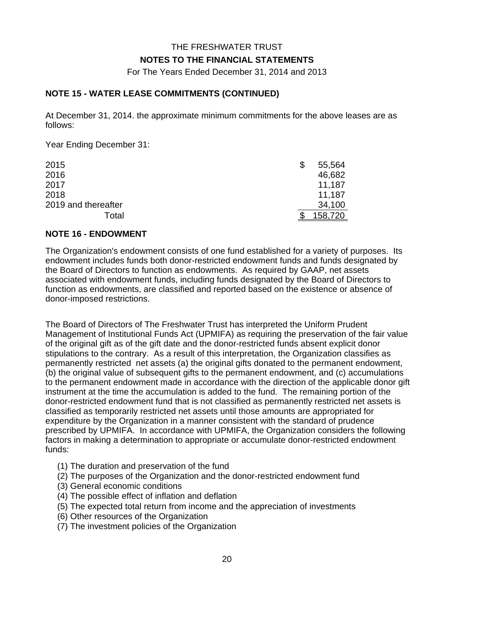For The Years Ended December 31, 2014 and 2013

#### **NOTE 15 - WATER LEASE COMMITMENTS (CONTINUED)**

At December 31, 2014. the approximate minimum commitments for the above leases are as follows:

Year Ending December 31:

| 2015                | S | 55,564  |
|---------------------|---|---------|
| 2016                |   | 46,682  |
| 2017                |   | 11,187  |
| 2018                |   | 11,187  |
| 2019 and thereafter |   | 34,100  |
| Total               |   | 158,720 |

#### **NOTE 16 - ENDOWMENT**

The Organization's endowment consists of one fund established for a variety of purposes. Its endowment includes funds both donor-restricted endowment funds and funds designated by the Board of Directors to function as endowments. As required by GAAP, net assets associated with endowment funds, including funds designated by the Board of Directors to function as endowments, are classified and reported based on the existence or absence of donor-imposed restrictions.

The Board of Directors of The Freshwater Trust has interpreted the Uniform Prudent Management of Institutional Funds Act (UPMIFA) as requiring the preservation of the fair value of the original gift as of the gift date and the donor-restricted funds absent explicit donor stipulations to the contrary. As a result of this interpretation, the Organization classifies as permanently restricted net assets (a) the original gifts donated to the permanent endowment, (b) the original value of subsequent gifts to the permanent endowment, and (c) accumulations to the permanent endowment made in accordance with the direction of the applicable donor gift instrument at the time the accumulation is added to the fund. The remaining portion of the donor-restricted endowment fund that is not classified as permanently restricted net assets is classified as temporarily restricted net assets until those amounts are appropriated for expenditure by the Organization in a manner consistent with the standard of prudence prescribed by UPMIFA. In accordance with UPMIFA, the Organization considers the following factors in making a determination to appropriate or accumulate donor-restricted endowment funds:

- (1) The duration and preservation of the fund
- (2) The purposes of the Organization and the donor-restricted endowment fund
- (3) General economic conditions
- (4) The possible effect of inflation and deflation
- (5) The expected total return from income and the appreciation of investments
- (6) Other resources of the Organization
- (7) The investment policies of the Organization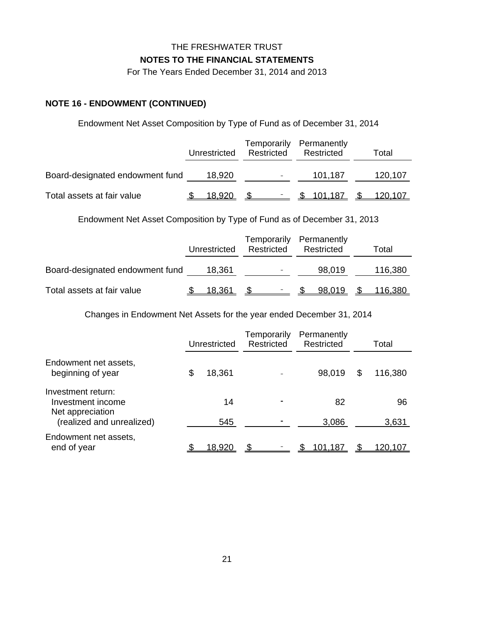For The Years Ended December 31, 2014 and 2013

#### **NOTE 16 - ENDOWMENT (CONTINUED)**

Endowment Net Asset Composition by Type of Fund as of December 31, 2014

|                                 | Unrestricted | Restricted               | Temporarily Permanently<br>Restricted | Total   |
|---------------------------------|--------------|--------------------------|---------------------------------------|---------|
| Board-designated endowment fund | 18,920       | $\overline{\phantom{a}}$ | 101,187                               | 120,107 |
| Total assets at fair value      | 18.920       | $\sim$ 100 $\pm$         | \$101.187                             | 120.107 |

Endowment Net Asset Composition by Type of Fund as of December 31, 2013

|                                 | Unrestricted | Temporarily Permanently<br>Restricted |                          | Restricted | Total   |
|---------------------------------|--------------|---------------------------------------|--------------------------|------------|---------|
| Board-designated endowment fund | 18,361       |                                       | $\overline{\phantom{a}}$ | 98,019     | 116,380 |
| Total assets at fair value      | 18.361       |                                       |                          | 98.019     | 116.380 |

Changes in Endowment Net Assets for the year ended December 31, 2014

|                                                             | Unrestricted   | Temporarily<br>Restricted | Permanently<br>Restricted | Total         |
|-------------------------------------------------------------|----------------|---------------------------|---------------------------|---------------|
| Endowment net assets,<br>beginning of year                  | \$<br>18,361   |                           | 98,019                    | \$<br>116,380 |
| Investment return:<br>Investment income<br>Net appreciation | 14             |                           | 82                        | 96            |
| (realized and unrealized)                                   | 545            |                           | 3,086                     | 3,631         |
| Endowment net assets,<br>end of year                        | <u> 18.920</u> |                           | 101.187                   | 120.107       |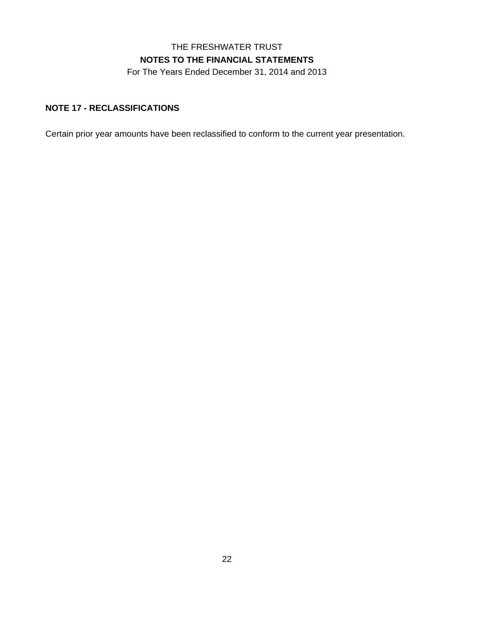For The Years Ended December 31, 2014 and 2013

### **NOTE 17 - RECLASSIFICATIONS**

Certain prior year amounts have been reclassified to conform to the current year presentation.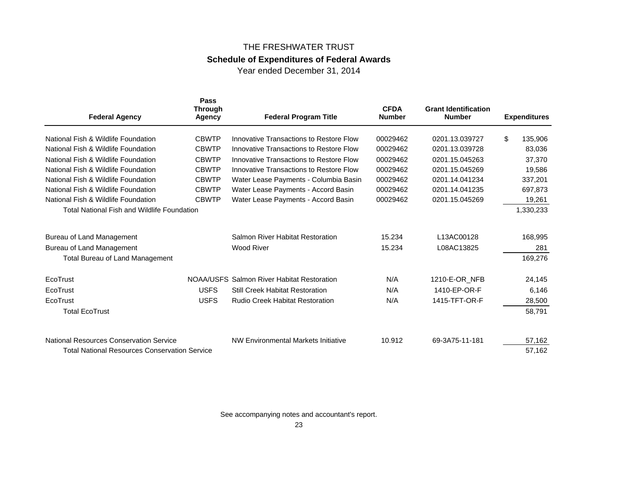### THE FRESHWATER TRUST**Schedule of Expenditures of Federal Awards** Year ended December 31, 2014

| <b>Federal Agency</b>                                                                                  | Pass<br><b>Through</b><br>Agency | <b>Federal Program Title</b>                      | <b>CFDA</b><br><b>Number</b> | <b>Grant Identification</b><br><b>Number</b> | <b>Expenditures</b> |
|--------------------------------------------------------------------------------------------------------|----------------------------------|---------------------------------------------------|------------------------------|----------------------------------------------|---------------------|
| National Fish & Wildlife Foundation                                                                    | <b>CBWTP</b>                     | Innovative Transactions to Restore Flow           | 00029462                     | 0201.13.039727                               | \$<br>135,906       |
| National Fish & Wildlife Foundation                                                                    | <b>CBWTP</b>                     | Innovative Transactions to Restore Flow           | 00029462                     | 0201.13.039728                               | 83,036              |
| National Fish & Wildlife Foundation                                                                    | <b>CBWTP</b>                     | Innovative Transactions to Restore Flow           | 00029462                     | 0201.15.045263                               | 37,370              |
| National Fish & Wildlife Foundation                                                                    | <b>CBWTP</b>                     | Innovative Transactions to Restore Flow           | 00029462                     | 0201.15.045269                               | 19,586              |
| National Fish & Wildlife Foundation                                                                    | <b>CBWTP</b>                     | Water Lease Payments - Columbia Basin             | 00029462                     | 0201.14.041234                               | 337,201             |
| National Fish & Wildlife Foundation                                                                    | <b>CBWTP</b>                     | Water Lease Payments - Accord Basin               | 00029462                     | 0201.14.041235                               | 697,873             |
| National Fish & Wildlife Foundation                                                                    | <b>CBWTP</b>                     | Water Lease Payments - Accord Basin               | 00029462                     | 0201.15.045269                               | 19,261              |
| <b>Total National Fish and Wildlife Foundation</b>                                                     |                                  |                                                   |                              |                                              | 1,330,233           |
| Bureau of Land Management                                                                              |                                  | Salmon River Habitat Restoration                  | 15.234                       | L13AC00128                                   | 168,995             |
| Bureau of Land Management                                                                              |                                  | <b>Wood River</b>                                 | 15.234                       | L08AC13825                                   | 281                 |
| Total Bureau of Land Management                                                                        |                                  |                                                   |                              |                                              | 169,276             |
| EcoTrust                                                                                               |                                  | <b>NOAA/USFS Salmon River Habitat Restoration</b> | N/A                          | 1210-E-OR_NFB                                | 24,145              |
| EcoTrust                                                                                               | <b>USFS</b>                      | <b>Still Creek Habitat Restoration</b>            | N/A                          | 1410-EP-OR-F                                 | 6,146               |
| EcoTrust                                                                                               | <b>USFS</b>                      | <b>Rudio Creek Habitat Restoration</b>            | N/A                          | 1415-TFT-OR-F                                | 28,500              |
| <b>Total EcoTrust</b>                                                                                  |                                  |                                                   |                              |                                              | 58,791              |
| <b>National Resources Conservation Service</b><br><b>Total National Resources Conservation Service</b> |                                  | <b>NW Environmental Markets Initiative</b>        | 10.912                       | 69-3A75-11-181                               | 57,162<br>57,162    |

See accompanying notes and accountant's report.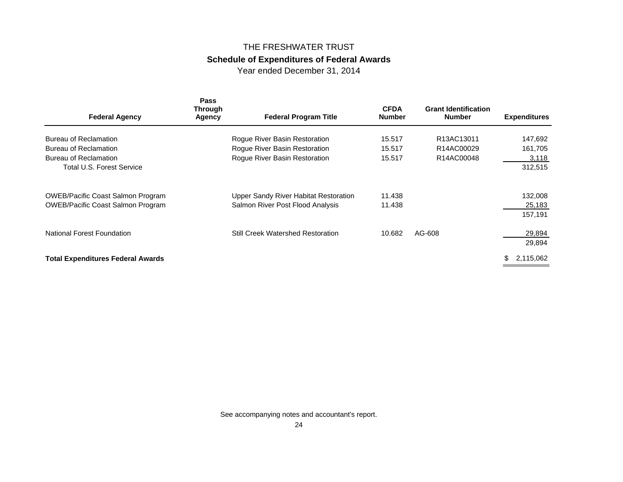### THE FRESHWATER TRUST**Schedule of Expenditures of Federal Awards** Year ended December 31, 2014

| <b>Federal Agency</b>                    | Pass<br>Through<br>Agency | <b>Federal Program Title</b>             | <b>CFDA</b><br><b>Number</b> | <b>Grant Identification</b><br><b>Number</b> | <b>Expenditures</b> |
|------------------------------------------|---------------------------|------------------------------------------|------------------------------|----------------------------------------------|---------------------|
| Bureau of Reclamation                    |                           | Rogue River Basin Restoration            | 15.517                       | R13AC13011                                   | 147,692             |
| Bureau of Reclamation                    |                           | Rogue River Basin Restoration            | 15.517                       | R14AC00029                                   | 161,705             |
| Bureau of Reclamation                    |                           | Rogue River Basin Restoration            | 15.517                       | R14AC00048                                   | 3,118               |
| Total U.S. Forest Service                |                           |                                          |                              |                                              | 312,515             |
| <b>OWEB/Pacific Coast Salmon Program</b> |                           | Upper Sandy River Habitat Restoration    | 11.438                       |                                              | 132,008             |
| <b>OWEB/Pacific Coast Salmon Program</b> |                           | Salmon River Post Flood Analysis         | 11.438                       |                                              | 25,183              |
|                                          |                           |                                          |                              |                                              | 157,191             |
| National Forest Foundation               |                           | <b>Still Creek Watershed Restoration</b> | 10.682                       | AG-608                                       | 29,894              |
|                                          |                           |                                          |                              |                                              | 29,894              |
| <b>Total Expenditures Federal Awards</b> |                           |                                          |                              |                                              | 2,115,062           |

See accompanying notes and accountant's report.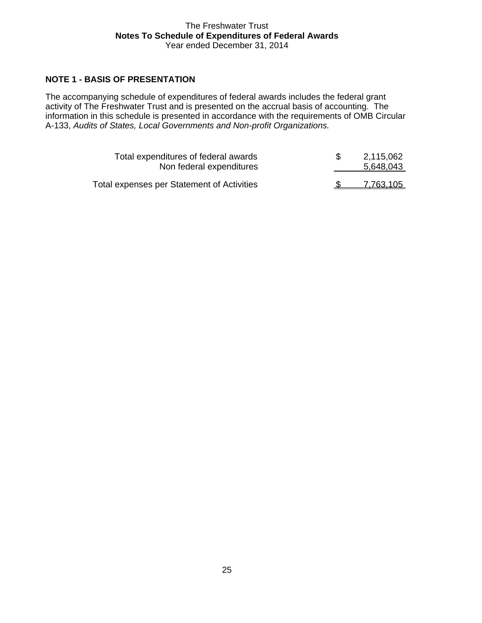#### **NOTE 1 - BASIS OF PRESENTATION**

The accompanying schedule of expenditures of federal awards includes the federal grant activity of The Freshwater Trust and is presented on the accrual basis of accounting. The information in this schedule is presented in accordance with the requirements of OMB Circular A-133, *Audits of States, Local Governments and Non-profit Organizations.*

| Total expenditures of federal awards<br>Non federal expenditures | 2,115,062<br>5.648.043 |
|------------------------------------------------------------------|------------------------|
| Total expenses per Statement of Activities                       | <u>7.763.105 </u>      |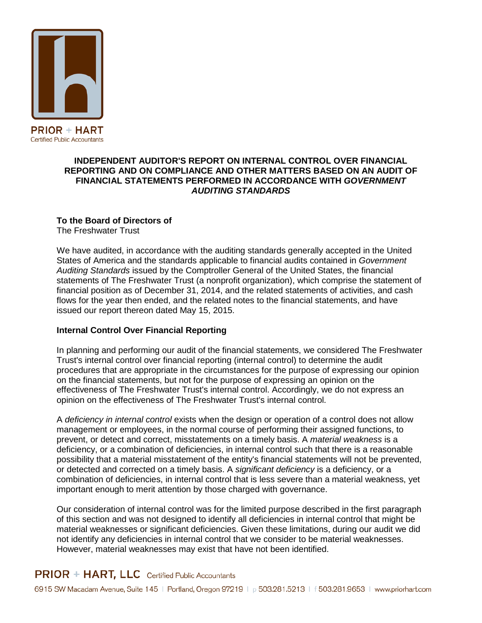

#### **INDEPENDENT AUDITOR'S REPORT ON INTERNAL CONTROL OVER FINANCIAL REPORTING AND ON COMPLIANCE AND OTHER MATTERS BASED ON AN AUDIT OF FINANCIAL STATEMENTS PERFORMED IN ACCORDANCE WITH** *GOVERNMENT AUDITING STANDARDS*

#### **To the Board of Directors of**

The Freshwater Trust

We have audited, in accordance with the auditing standards generally accepted in the United States of America and the standards applicable to financial audits contained in *Government Auditing Standards* issued by the Comptroller General of the United States, the financial statements of The Freshwater Trust (a nonprofit organization), which comprise the statement of financial position as of December 31, 2014, and the related statements of activities, and cash flows for the year then ended, and the related notes to the financial statements, and have issued our report thereon dated May 15, 2015.

#### **Internal Control Over Financial Reporting**

In planning and performing our audit of the financial statements, we considered The Freshwater Trust's internal control over financial reporting (internal control) to determine the audit procedures that are appropriate in the circumstances for the purpose of expressing our opinion on the financial statements, but not for the purpose of expressing an opinion on the effectiveness of The Freshwater Trust's internal control. Accordingly, we do not express an opinion on the effectiveness of The Freshwater Trust's internal control.

A *deficiency in internal control* exists when the design or operation of a control does not allow management or employees, in the normal course of performing their assigned functions, to prevent, or detect and correct, misstatements on a timely basis. A *material weakness* is a deficiency, or a combination of deficiencies, in internal control such that there is a reasonable possibility that a material misstatement of the entity's financial statements will not be prevented, or detected and corrected on a timely basis. A *significant deficiency* is a deficiency, or a combination of deficiencies, in internal control that is less severe than a material weakness, yet important enough to merit attention by those charged with governance.

Our consideration of internal control was for the limited purpose described in the first paragraph of this section and was not designed to identify all deficiencies in internal control that might be material weaknesses or significant deficiencies. Given these limitations, during our audit we did not identify any deficiencies in internal control that we consider to be material weaknesses. However, material weaknesses may exist that have not been identified.

### PRIOR + HART, LLC Certified Public Accountants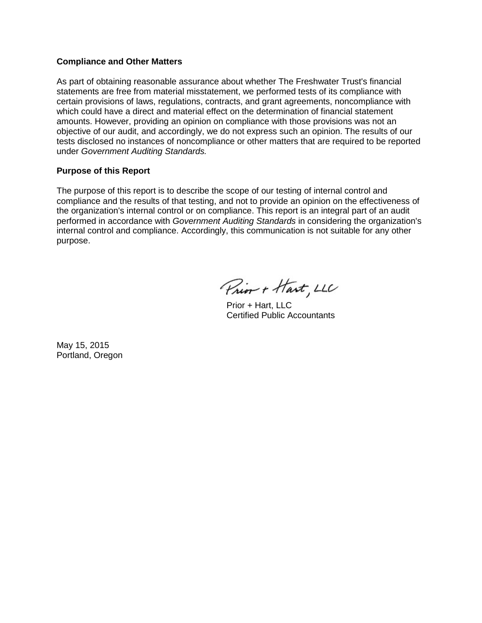#### **Compliance and Other Matters**

As part of obtaining reasonable assurance about whether The Freshwater Trust's financial statements are free from material misstatement, we performed tests of its compliance with certain provisions of laws, regulations, contracts, and grant agreements, noncompliance with which could have a direct and material effect on the determination of financial statement amounts. However, providing an opinion on compliance with those provisions was not an objective of our audit, and accordingly, we do not express such an opinion. The results of our tests disclosed no instances of noncompliance or other matters that are required to be reported under *Government Auditing Standards.*

#### **Purpose of this Report**

The purpose of this report is to describe the scope of our testing of internal control and compliance and the results of that testing, and not to provide an opinion on the effectiveness of the organization's internal control or on compliance. This report is an integral part of an audit performed in accordance with *Government Auditing Standards* in considering the organization's internal control and compliance. Accordingly, this communication is not suitable for any other purpose.

Prior + Hart, LLC

Certified Public Accountants

May 15, 2015 Portland, Oregon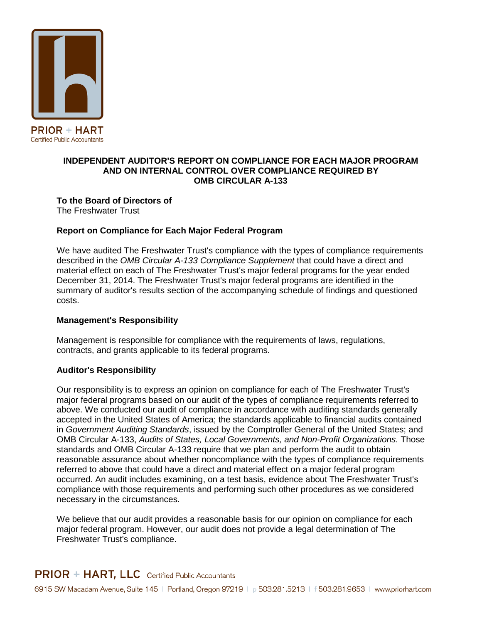

#### **INDEPENDENT AUDITOR'S REPORT ON COMPLIANCE FOR EACH MAJOR PROGRAM AND ON INTERNAL CONTROL OVER COMPLIANCE REQUIRED BY OMB CIRCULAR A-133**

**To the Board of Directors of** The Freshwater Trust

#### **Report on Compliance for Each Major Federal Program**

We have audited The Freshwater Trust's compliance with the types of compliance requirements described in the *OMB Circular A-133 Compliance Supplement* that could have a direct and material effect on each of The Freshwater Trust's major federal programs for the year ended December 31, 2014. The Freshwater Trust's major federal programs are identified in the summary of auditor's results section of the accompanying schedule of findings and questioned costs.

#### **Management's Responsibility**

Management is responsible for compliance with the requirements of laws, regulations, contracts, and grants applicable to its federal programs.

#### **Auditor's Responsibility**

Our responsibility is to express an opinion on compliance for each of The Freshwater Trust's major federal programs based on our audit of the types of compliance requirements referred to above. We conducted our audit of compliance in accordance with auditing standards generally accepted in the United States of America; the standards applicable to financial audits contained in *Government Auditing Standards*, issued by the Comptroller General of the United States; and OMB Circular A-133, *Audits of States, Local Governments, and Non-Profit Organizations.* Those standards and OMB Circular A-133 require that we plan and perform the audit to obtain reasonable assurance about whether noncompliance with the types of compliance requirements referred to above that could have a direct and material effect on a major federal program occurred. An audit includes examining, on a test basis, evidence about The Freshwater Trust's compliance with those requirements and performing such other procedures as we considered necessary in the circumstances.

We believe that our audit provides a reasonable basis for our opinion on compliance for each major federal program. However, our audit does not provide a legal determination of The Freshwater Trust's compliance.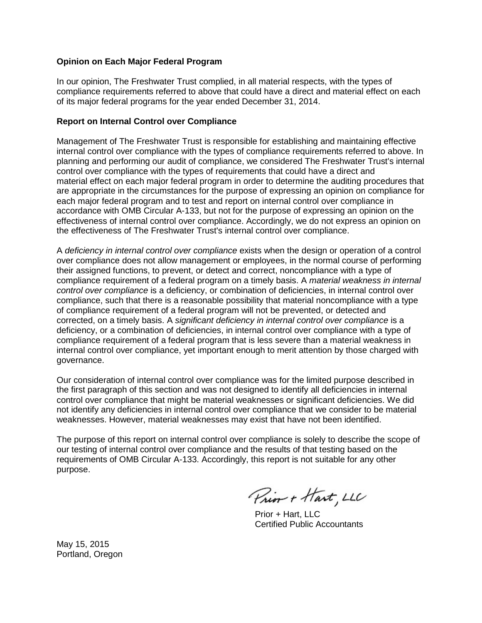#### **Opinion on Each Major Federal Program**

In our opinion, The Freshwater Trust complied, in all material respects, with the types of compliance requirements referred to above that could have a direct and material effect on each of its major federal programs for the year ended December 31, 2014.

#### **Report on Internal Control over Compliance**

Management of The Freshwater Trust is responsible for establishing and maintaining effective internal control over compliance with the types of compliance requirements referred to above. In planning and performing our audit of compliance, we considered The Freshwater Trust's internal control over compliance with the types of requirements that could have a direct and material effect on each major federal program in order to determine the auditing procedures that are appropriate in the circumstances for the purpose of expressing an opinion on compliance for each major federal program and to test and report on internal control over compliance in accordance with OMB Circular A-133, but not for the purpose of expressing an opinion on the effectiveness of internal control over compliance. Accordingly, we do not express an opinion on the effectiveness of The Freshwater Trust's internal control over compliance.

A *deficiency in internal control over compliance* exists when the design or operation of a control over compliance does not allow management or employees, in the normal course of performing their assigned functions, to prevent, or detect and correct, noncompliance with a type of compliance requirement of a federal program on a timely basis. A *material weakness in internal control over compliance* is a deficiency, or combination of deficiencies, in internal control over compliance, such that there is a reasonable possibility that material noncompliance with a type of compliance requirement of a federal program will not be prevented, or detected and corrected, on a timely basis. A *significant deficiency in internal control over compliance* is a deficiency, or a combination of deficiencies, in internal control over compliance with a type of compliance requirement of a federal program that is less severe than a material weakness in internal control over compliance, yet important enough to merit attention by those charged with governance.

Our consideration of internal control over compliance was for the limited purpose described in the first paragraph of this section and was not designed to identify all deficiencies in internal control over compliance that might be material weaknesses or significant deficiencies. We did not identify any deficiencies in internal control over compliance that we consider to be material weaknesses. However, material weaknesses may exist that have not been identified.

The purpose of this report on internal control over compliance is solely to describe the scope of our testing of internal control over compliance and the results of that testing based on the requirements of OMB Circular A-133. Accordingly, this report is not suitable for any other purpose.

Prior + Hart, LLC

Certified Public Accountants

May 15, 2015 Portland, Oregon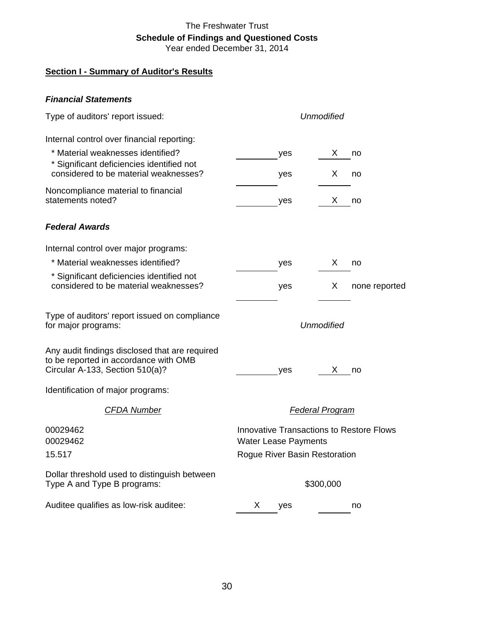## The Freshwater Trust **Schedule of Findings and Questioned Costs**

Year ended December 31, 2014

### **Section I - Summary of Auditor's Results**

#### *Financial Statements*

| Type of auditors' report issued:                                                                                           | <b>Unmodified</b>                                            |            |                        |                                                 |
|----------------------------------------------------------------------------------------------------------------------------|--------------------------------------------------------------|------------|------------------------|-------------------------------------------------|
| Internal control over financial reporting:                                                                                 |                                                              |            |                        |                                                 |
| * Material weaknesses identified?<br>* Significant deficiencies identified not<br>considered to be material weaknesses?    |                                                              | yes<br>yes | Х<br>X                 | no<br>no                                        |
| Noncompliance material to financial<br>statements noted?                                                                   |                                                              | yes        | X                      | no                                              |
| <b>Federal Awards</b>                                                                                                      |                                                              |            |                        |                                                 |
| Internal control over major programs:                                                                                      |                                                              |            |                        |                                                 |
| * Material weaknesses identified?                                                                                          |                                                              | yes        | X                      | no                                              |
| * Significant deficiencies identified not<br>considered to be material weaknesses?                                         |                                                              | yes        | X.                     | none reported                                   |
| Type of auditors' report issued on compliance<br>for major programs:                                                       |                                                              |            | <b>Unmodified</b>      |                                                 |
| Any audit findings disclosed that are required<br>to be reported in accordance with OMB<br>Circular A-133, Section 510(a)? |                                                              | yes        | х                      | no                                              |
| Identification of major programs:                                                                                          |                                                              |            |                        |                                                 |
| <b>CFDA Number</b>                                                                                                         |                                                              |            | <b>Federal Program</b> |                                                 |
| 00029462<br>00029462<br>15.517                                                                                             | <b>Water Lease Payments</b><br>Rogue River Basin Restoration |            |                        | <b>Innovative Transactions to Restore Flows</b> |
| Dollar threshold used to distinguish between<br>Type A and Type B programs:                                                |                                                              |            | \$300,000              |                                                 |
| Auditee qualifies as low-risk auditee:                                                                                     | X                                                            | yes        |                        | no                                              |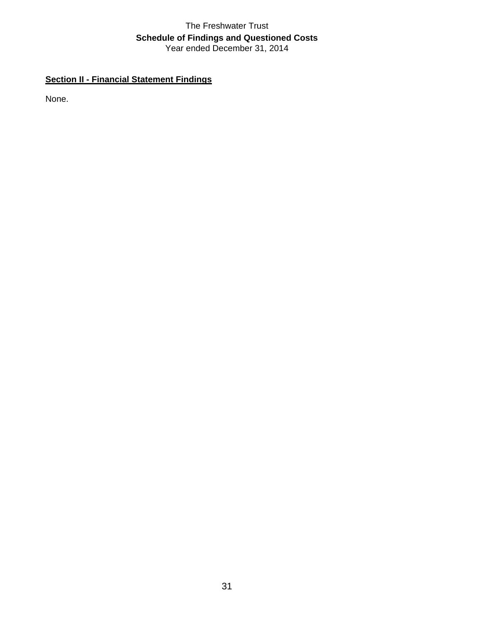### The Freshwater Trust **Schedule of Findings and Questioned Costs** Year ended December 31, 2014

### **Section II - Financial Statement Findings**

None.